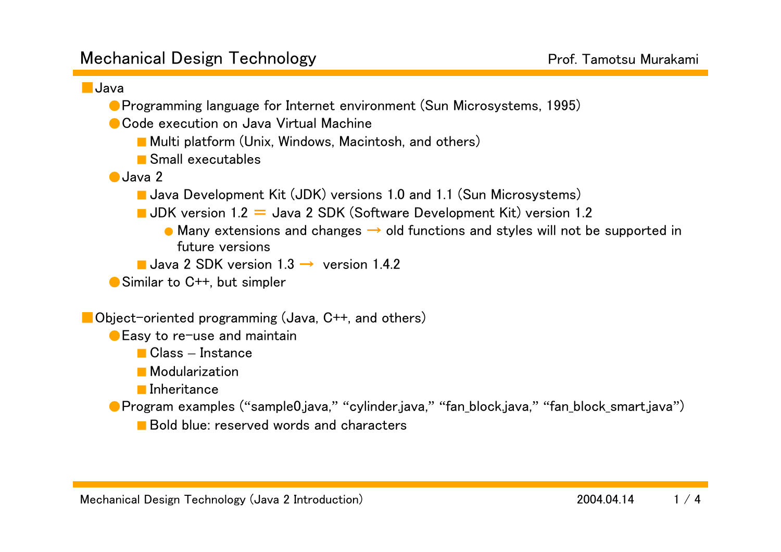## ■Java

- Programming language for Internet environment (Sun Microsystems, 1995)
- Code execution on Java Virtual Machine
	- Multi platform (Unix, Windows, Macintosh, and others)
	- Small executables
- ●Java 2
	- Java Development Kit (JDK) versions 1.0 and 1.1 (Sun Microsystems)
	- $\blacksquare$  JDK version 1.2  $\equiv$  Java 2 SDK (Software Development Kit) version 1.2
		- $\bullet$  Many extensions and changes  $\rightarrow$  old functions and styles will not be supported in future versions
	- Java 2 SDK version  $1.3 \rightarrow$  version 1.4.2
- Similar to C<sup>++</sup>, but simpler

■Object-oriented programming (Java, C++, and others)

- Easy to re-use and maintain
	- Class Instance
	- Modularization
	- Inheritance
- ●Program examples ("sample0.java," "cylinder.java," "fan\_block.java," "fan\_block\_smart.java")
	- Bold blue: reserved words and characters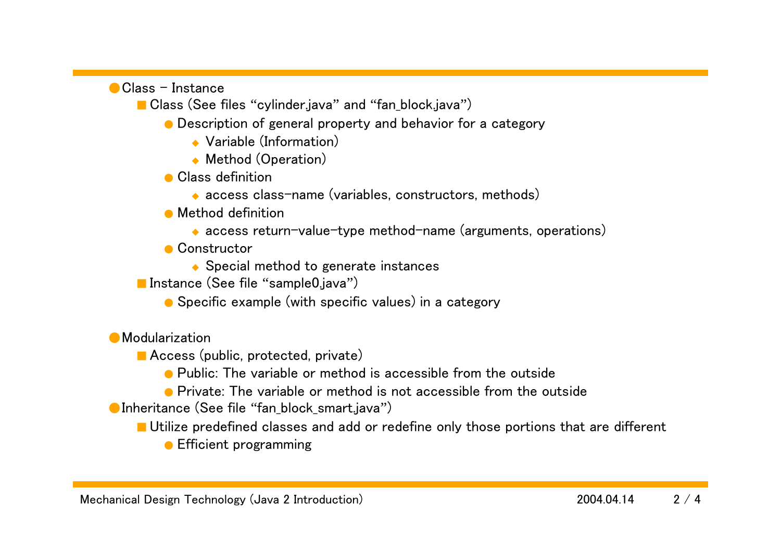$\bigcirc$  Class - Instance

■ Class (See files "cylinder.java" and "fan\_block.java")

- Description of general property and behavior for a category
	- ◆ Variable (Information)
	- ◆ Method (Operation)
- Class definition
	- ◆ access class-name (variables, constructors, methods)
- Method definition
	- ◆ access return-value-type method-name (arguments, operations)
- Constructor
	- ◆ Special method to generate instances
- Instance (See file "sample0.java")
	- Specific example (with specific values) in a category
- Modularization
	- Access (public, protected, private)
		- Public: The variable or method is accessible from the outside
		- Private: The variable or method is not accessible from the outside
- ●Inheritance (See file "fan block smart.java")
	- Utilize predefined classes and add or redefine only those portions that are different
		- Efficient programming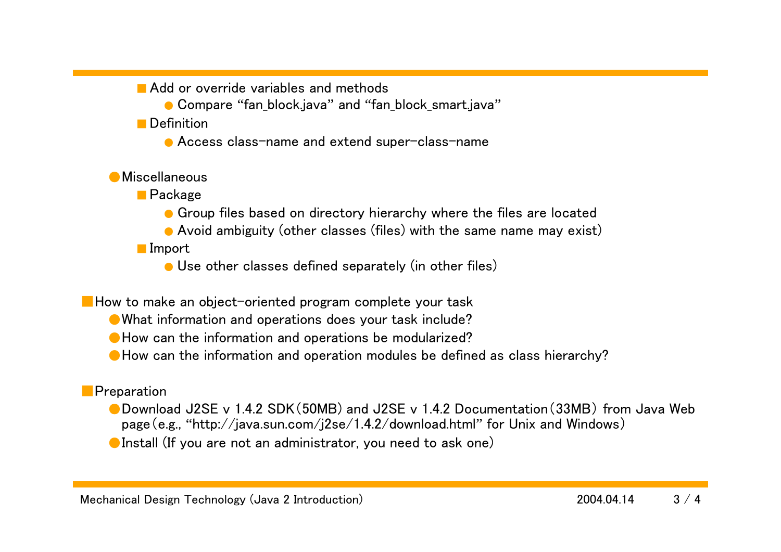■ Add or override variables and methods

● Compare "fan\_block.java" and "fan\_block\_smart.java"

■ Definition

● Access class-name and extend super-class-name

## ●Miscellaneous

■ Package

**• Group files based on directory hierarchy where the files are located** 

● Avoid ambiguity (other classes (files) with the same name may exist)

■ Import

● Use other classes defined separately (in other files)

■ How to make an object-oriented program complete your task

● What information and operations does your task include?

●How can the information and operations be modularized?

● How can the information and operation modules be defined as class hierarchy?

## ■Preparation

●Download J2SE v 1.4.2 SDK(50MB) and J2SE v 1.4.2 Documentation(33MB) from Java Web page(e.g., "http://java.sun.com/j2se/1.4.2/download.html" for Unix and Windows)

**O**Install (If you are not an administrator, you need to ask one)